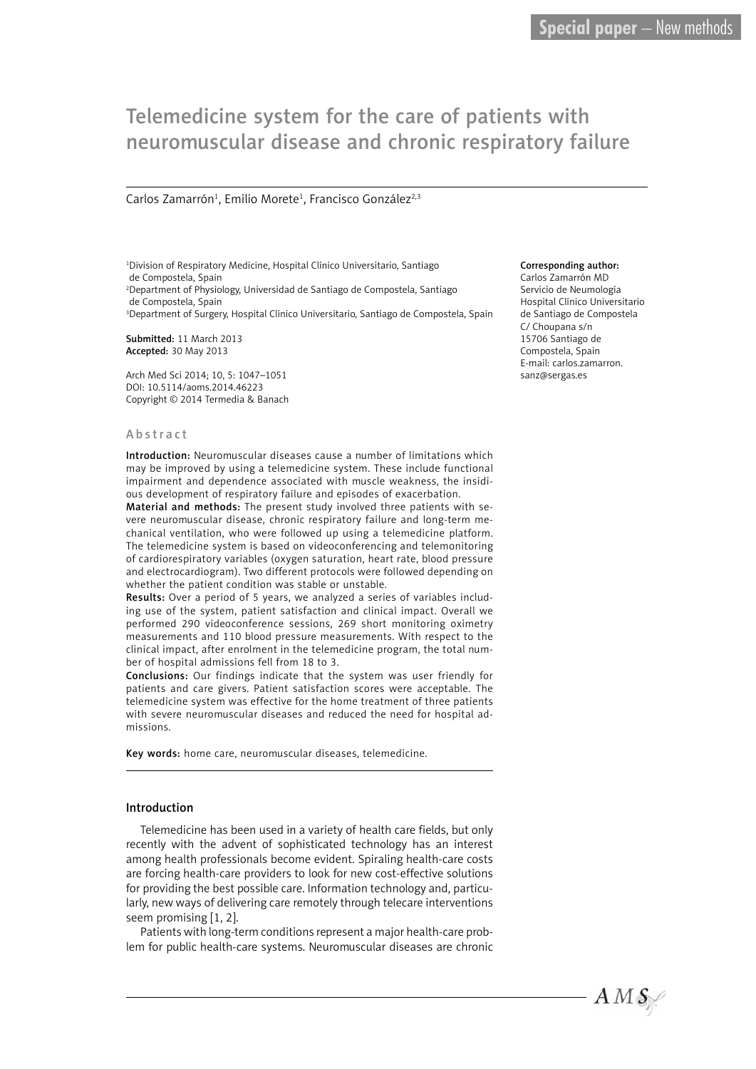# Telemedicine system for the care of patients with neuromuscular disease and chronic respiratory failure

## Carlos Zamarrón<sup>1</sup>, Emilio Morete<sup>1</sup>, Francisco González<sup>2,3</sup>

1 Division of Respiratory Medicine, Hospital Clínico Universitario, Santiago de Compostela, Spain 2 Department of Physiology, Universidad de Santiago de Compostela, Santiago de Compostela, Spain <sup>3</sup>Department of Surgery, Hospital Clínico Universitario, Santiago de Compostela, Spain

Submitted: 11 March 2013 Accepted: 30 May 2013

Arch Med Sci 2014; 10, 5: 1047–1051 DOI: 10.5114/aoms.2014.46223 Copyright © 2014 Termedia & Banach

#### Abstract

Introduction: Neuromuscular diseases cause a number of limitations which may be improved by using a telemedicine system. These include functional impairment and dependence associated with muscle weakness, the insidious development of respiratory failure and episodes of exacerbation.

Material and methods: The present study involved three patients with severe neuromuscular disease, chronic respiratory failure and long-term mechanical ventilation, who were followed up using a telemedicine platform. The telemedicine system is based on videoconferencing and telemonitoring of cardiorespiratory variables (oxygen saturation, heart rate, blood pressure and electrocardiogram). Two different protocols were followed depending on whether the patient condition was stable or unstable.

Results: Over a period of 5 years, we analyzed a series of variables including use of the system, patient satisfaction and clinical impact. Overall we performed 290 videoconference sessions, 269 short monitoring oximetry measurements and 110 blood pressure measurements. With respect to the clinical impact, after enrolment in the telemedicine program, the total number of hospital admissions fell from 18 to 3.

Conclusions: Our findings indicate that the system was user friendly for patients and care givers. Patient satisfaction scores were acceptable. The telemedicine system was effective for the home treatment of three patients with severe neuromuscular diseases and reduced the need for hospital admissions.

Key words: home care, neuromuscular diseases, telemedicine.

### Introduction

Telemedicine has been used in a variety of health care fields, but only recently with the advent of sophisticated technology has an interest among health professionals become evident. Spiraling health-care costs are forcing health-care providers to look for new cost-effective solutions for providing the best possible care. Information technology and, particularly, new ways of delivering care remotely through telecare interventions seem promising [1, 2].

Patients with long-term conditions represent a major health-care problem for public health-care systems. Neuromuscular diseases are chronic

#### Corresponding author:

Carlos Zamarrón MD Servicio de Neumología Hospital Clínico Universitario de Santiago de Compostela C/ Choupana s/n 15706 Santiago de Compostela, Spain E-mail: carlos.zamarron. sanz@sergas.es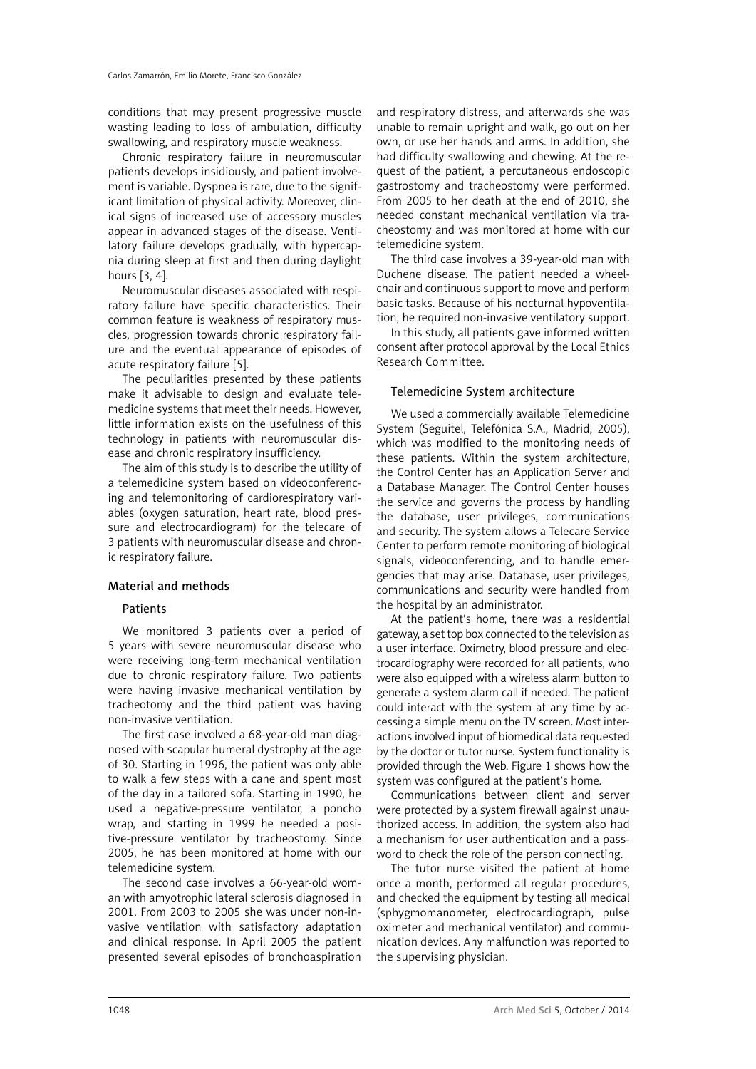conditions that may present progressive muscle wasting leading to loss of ambulation, difficulty swallowing, and respiratory muscle weakness.

Chronic respiratory failure in neuromuscular patients develops insidiously, and patient involvement is variable. Dyspnea is rare, due to the significant limitation of physical activity. Moreover, clinical signs of increased use of accessory muscles appear in advanced stages of the disease. Ventilatory failure develops gradually, with hypercapnia during sleep at first and then during daylight hours [3, 4].

Neuromuscular diseases associated with respiratory failure have specific characteristics. Their common feature is weakness of respiratory muscles, progression towards chronic respiratory failure and the eventual appearance of episodes of acute respiratory failure [5].

The peculiarities presented by these patients make it advisable to design and evaluate telemedicine systems that meet their needs. However, little information exists on the usefulness of this technology in patients with neuromuscular disease and chronic respiratory insufficiency.

The aim of this study is to describe the utility of a telemedicine system based on videoconferencing and telemonitoring of cardiorespiratory variables (oxygen saturation, heart rate, blood pressure and electrocardiogram) for the telecare of 3 patients with neuromuscular disease and chronic respiratory failure.

### Material and methods

#### **Patients**

We monitored 3 patients over a period of 5 years with severe neuromuscular disease who were receiving long-term mechanical ventilation due to chronic respiratory failure. Two patients were having invasive mechanical ventilation by tracheotomy and the third patient was having non-invasive ventilation.

The first case involved a 68-year-old man diagnosed with scapular humeral dystrophy at the age of 30. Starting in 1996, the patient was only able to walk a few steps with a cane and spent most of the day in a tailored sofa. Starting in 1990, he used a negative-pressure ventilator, a poncho wrap, and starting in 1999 he needed a positive-pressure ventilator by tracheostomy. Since 2005, he has been monitored at home with our telemedicine system.

The second case involves a 66-year-old woman with amyotrophic lateral sclerosis diagnosed in 2001. From 2003 to 2005 she was under non-invasive ventilation with satisfactory adaptation and clinical response. In April 2005 the patient presented several episodes of bronchoaspiration

and respiratory distress, and afterwards she was unable to remain upright and walk, go out on her own, or use her hands and arms. In addition, she had difficulty swallowing and chewing. At the request of the patient, a percutaneous endoscopic gastrostomy and tracheostomy were performed. From 2005 to her death at the end of 2010, she needed constant mechanical ventilation via tracheostomy and was monitored at home with our telemedicine system.

The third case involves a 39-year-old man with Duchene disease. The patient needed a wheelchair and continuous support to move and perform basic tasks. Because of his nocturnal hypoventilation, he required non-invasive ventilatory support.

In this study, all patients gave informed written consent after protocol approval by the Local Ethics Research Committee.

#### Telemedicine System architecture

We used a commercially available Telemedicine System (Seguitel, Telefónica S.A., Madrid, 2005), which was modified to the monitoring needs of these patients. Within the system architecture, the Control Center has an Application Server and a Database Manager. The Control Center houses the service and governs the process by handling the database, user privileges, communications and security. The system allows a Telecare Service Center to perform remote monitoring of biological signals, videoconferencing, and to handle emergencies that may arise. Database, user privileges, communications and security were handled from the hospital by an administrator.

At the patient's home, there was a residential gateway, a set top box connected to the television as a user interface. Oximetry, blood pressure and electrocardiography were recorded for all patients, who were also equipped with a wireless alarm button to generate a system alarm call if needed. The patient could interact with the system at any time by accessing a simple menu on the TV screen. Most interactions involved input of biomedical data requested by the doctor or tutor nurse. System functionality is provided through the Web. Figure 1 shows how the system was configured at the patient's home.

Communications between client and server were protected by a system firewall against unauthorized access. In addition, the system also had a mechanism for user authentication and a password to check the role of the person connecting.

The tutor nurse visited the patient at home once a month, performed all regular procedures, and checked the equipment by testing all medical (sphygmomanometer, electrocardiograph, pulse oximeter and mechanical ventilator) and communication devices. Any malfunction was reported to the supervising physician.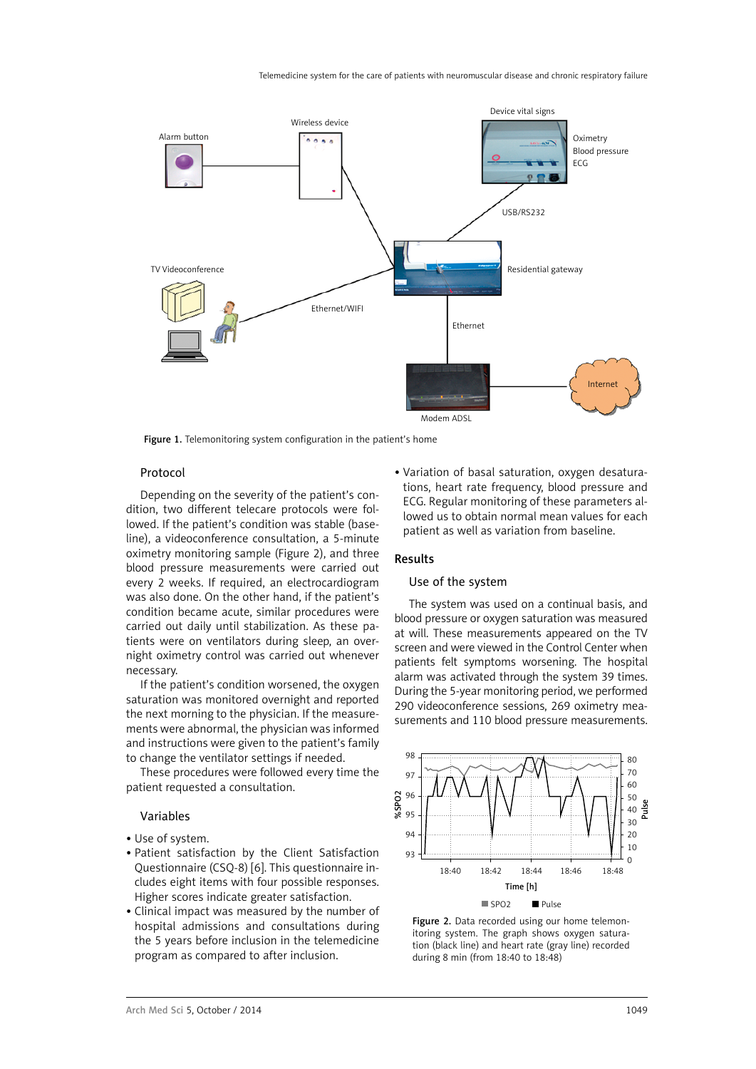

Figure 1. Telemonitoring system configuration in the patient's home

## Protocol

Depending on the severity of the patient's condition, two different telecare protocols were followed. If the patient's condition was stable (baseline), a videoconference consultation, a 5-minute oximetry monitoring sample (Figure 2), and three blood pressure measurements were carried out every 2 weeks. If required, an electrocardiogram was also done. On the other hand, if the patient's condition became acute, similar procedures were carried out daily until stabilization. As these patients were on ventilators during sleep, an overnight oximetry control was carried out whenever necessary.

If the patient's condition worsened, the oxygen saturation was monitored overnight and reported the next morning to the physician. If the measurements were abnormal, the physician was informed and instructions were given to the patient's family to change the ventilator settings if needed.

These procedures were followed every time the patient requested a consultation.

## Variables

- Use of system.
- Patient satisfaction by the Client Satisfaction Questionnaire (CSQ-8) [6]. This questionnaire includes eight items with four possible responses. Higher scores indicate greater satisfaction.
- Clinical impact was measured by the number of hospital admissions and consultations during the 5 years before inclusion in the telemedicine program as compared to after inclusion.

• Variation of basal saturation, oxygen desaturations, heart rate frequency, blood pressure and ECG. Regular monitoring of these parameters allowed us to obtain normal mean values for each patient as well as variation from baseline.

#### Results

## Use of the system

The system was used on a continual basis, and blood pressure or oxygen saturation was measured at will. These measurements appeared on the TV screen and were viewed in the Control Center when patients felt symptoms worsening. The hospital alarm was activated through the system 39 times. During the 5-year monitoring period, we performed 290 videoconference sessions, 269 oximetry measurements and 110 blood pressure measurements.



Figure 2. Data recorded using our home telemonitoring system. The graph shows oxygen saturation (black line) and heart rate (gray line) recorded during 8 min (from 18:40 to 18:48)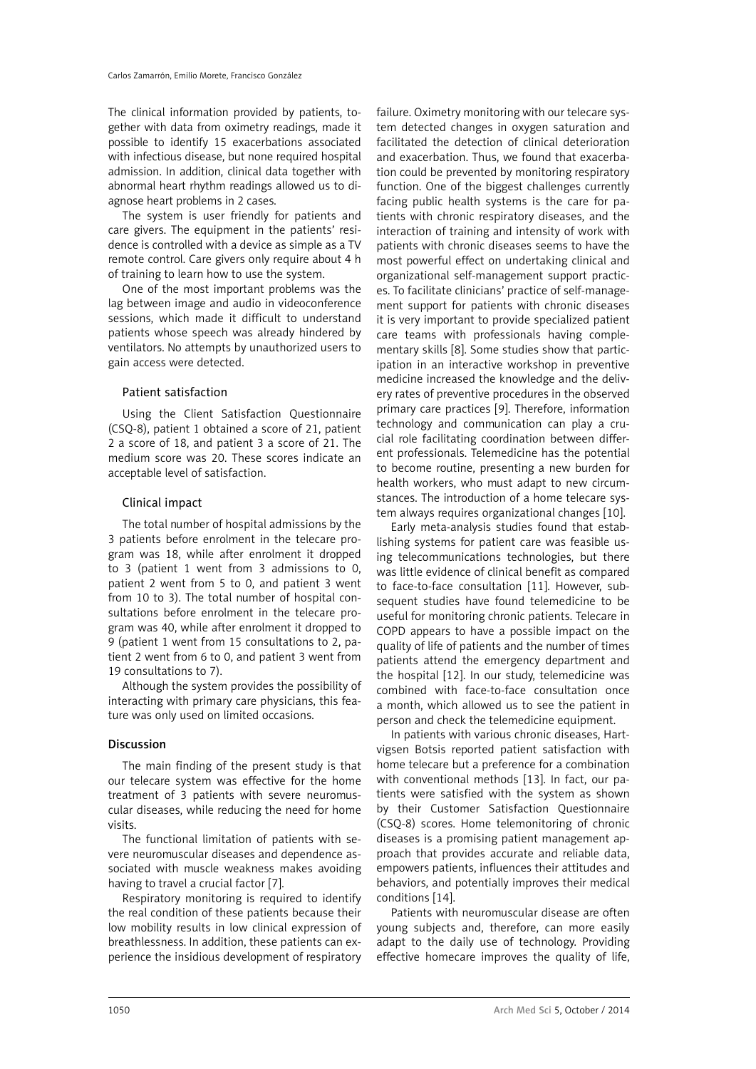The clinical information provided by patients, together with data from oximetry readings, made it possible to identify 15 exacerbations associated with infectious disease, but none required hospital admission. In addition, clinical data together with abnormal heart rhythm readings allowed us to diagnose heart problems in 2 cases.

The system is user friendly for patients and care givers. The equipment in the patients' residence is controlled with a device as simple as a TV remote control. Care givers only require about 4 h of training to learn how to use the system.

One of the most important problems was the lag between image and audio in videoconference sessions, which made it difficult to understand patients whose speech was already hindered by ventilators. No attempts by unauthorized users to gain access were detected.

# Patient satisfaction

Using the Client Satisfaction Questionnaire (CSQ-8), patient 1 obtained a score of 21, patient 2 a score of 18, and patient 3 a score of 21. The medium score was 20. These scores indicate an acceptable level of satisfaction.

# Clinical impact

The total number of hospital admissions by the 3 patients before enrolment in the telecare program was 18, while after enrolment it dropped to 3 (patient 1 went from 3 admissions to 0, patient 2 went from 5 to 0, and patient 3 went from 10 to 3). The total number of hospital consultations before enrolment in the telecare program was 40, while after enrolment it dropped to 9 (patient 1 went from 15 consultations to 2, patient 2 went from 6 to 0, and patient 3 went from 19 consultations to 7).

Although the system provides the possibility of interacting with primary care physicians, this feature was only used on limited occasions.

# Discussion

The main finding of the present study is that our telecare system was effective for the home treatment of 3 patients with severe neuromuscular diseases, while reducing the need for home visits.

The functional limitation of patients with severe neuromuscular diseases and dependence associated with muscle weakness makes avoiding having to travel a crucial factor [7].

Respiratory monitoring is required to identify the real condition of these patients because their low mobility results in low clinical expression of breathlessness. In addition, these patients can experience the insidious development of respiratory

failure. Oximetry monitoring with our telecare system detected changes in oxygen saturation and facilitated the detection of clinical deterioration and exacerbation. Thus, we found that exacerbation could be prevented by monitoring respiratory function. One of the biggest challenges currently facing public health systems is the care for patients with chronic respiratory diseases, and the interaction of training and intensity of work with patients with chronic diseases seems to have the most powerful effect on undertaking clinical and organizational self-management support practices. To facilitate clinicians' practice of self-management support for patients with chronic diseases it is very important to provide specialized patient care teams with professionals having complementary skills [8]. Some studies show that participation in an interactive workshop in preventive medicine increased the knowledge and the delivery rates of preventive procedures in the observed primary care practices [9]. Therefore, information technology and communication can play a crucial role facilitating coordination between different professionals. Telemedicine has the potential to become routine, presenting a new burden for health workers, who must adapt to new circumstances. The introduction of a home telecare system always requires organizational changes [10].

Early meta-analysis studies found that establishing systems for patient care was feasible using telecommunications technologies, but there was little evidence of clinical benefit as compared to face-to-face consultation [11]. However, subsequent studies have found telemedicine to be useful for monitoring chronic patients. Telecare in COPD appears to have a possible impact on the quality of life of patients and the number of times patients attend the emergency department and the hospital [12]. In our study, telemedicine was combined with face-to-face consultation once a month, which allowed us to see the patient in person and check the telemedicine equipment.

In patients with various chronic diseases, Hartvigsen Botsis reported patient satisfaction with home telecare but a preference for a combination with conventional methods [13]. In fact, our patients were satisfied with the system as shown by their Customer Satisfaction Questionnaire (CSQ-8) scores. Home telemonitoring of chronic diseases is a promising patient management approach that provides accurate and reliable data, empowers patients, influences their attitudes and behaviors, and potentially improves their medical conditions [14].

Patients with neuromuscular disease are often young subjects and, therefore, can more easily adapt to the daily use of technology. Providing effective homecare improves the quality of life,